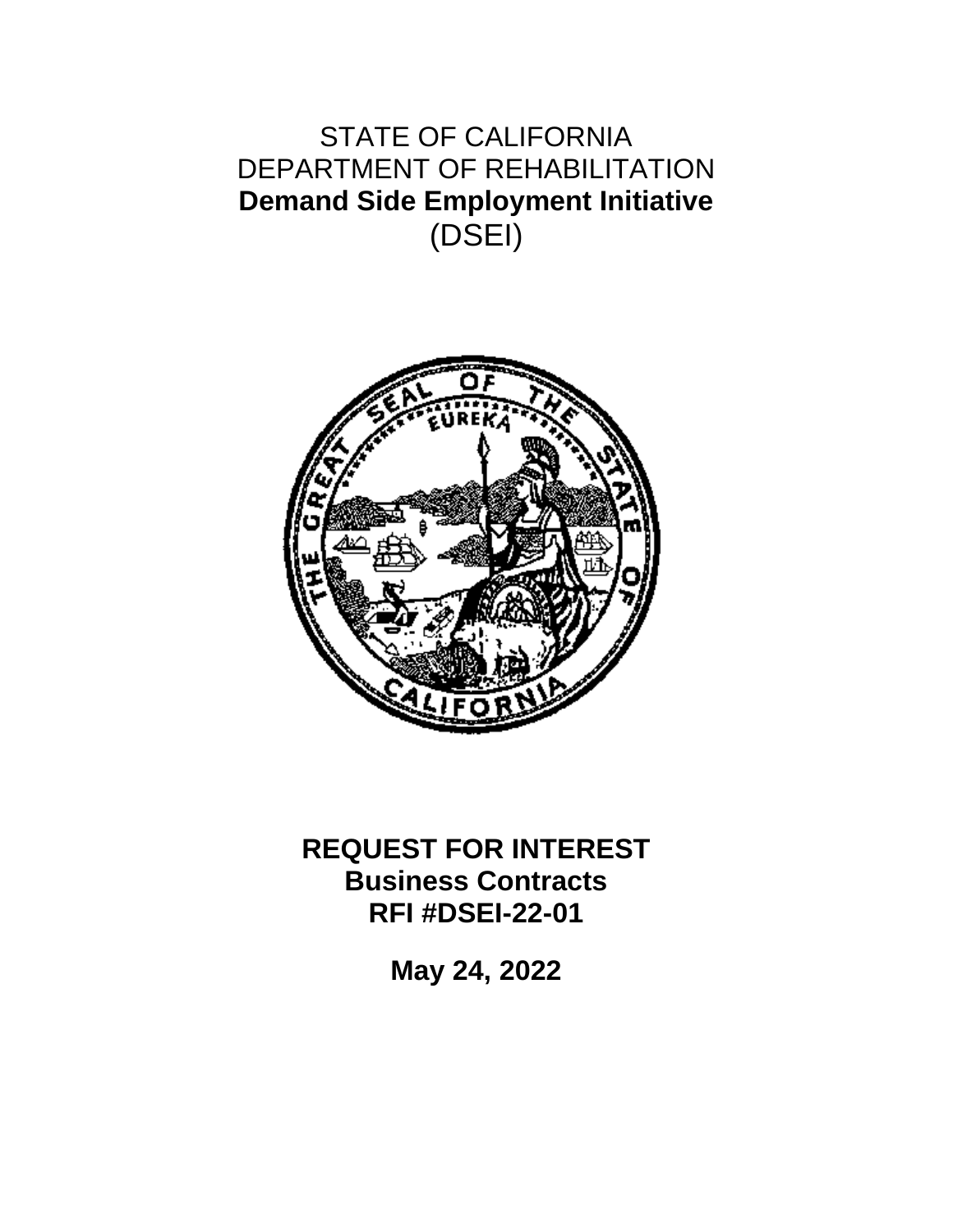# STATE OF CALIFORNIA DEPARTMENT OF REHABILITATION **Demand Side Employment Initiative** (DSEI)



**REQUEST FOR INTEREST Business Contracts RFI #DSEI-22-01**

**May 24, 2022**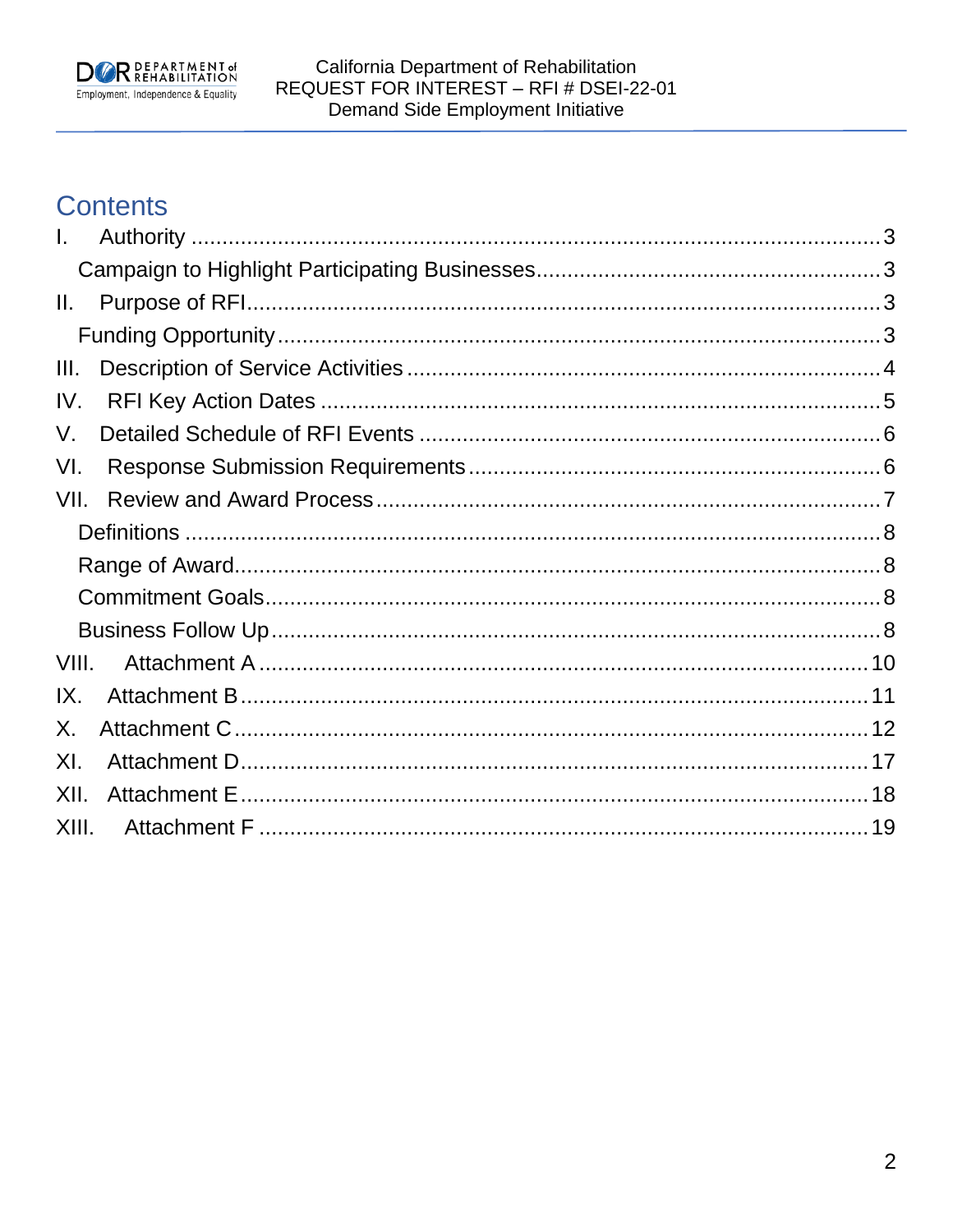

# **Contents**

| $\mathbf{L}$ |  |
|--------------|--|
|              |  |
| Ш.           |  |
|              |  |
| III.         |  |
| IV.          |  |
| V.           |  |
| VI.          |  |
| VII.         |  |
|              |  |
|              |  |
|              |  |
|              |  |
| VIII.        |  |
| IX.          |  |
| Х.           |  |
| XI.          |  |
| XII.         |  |
| XIII.        |  |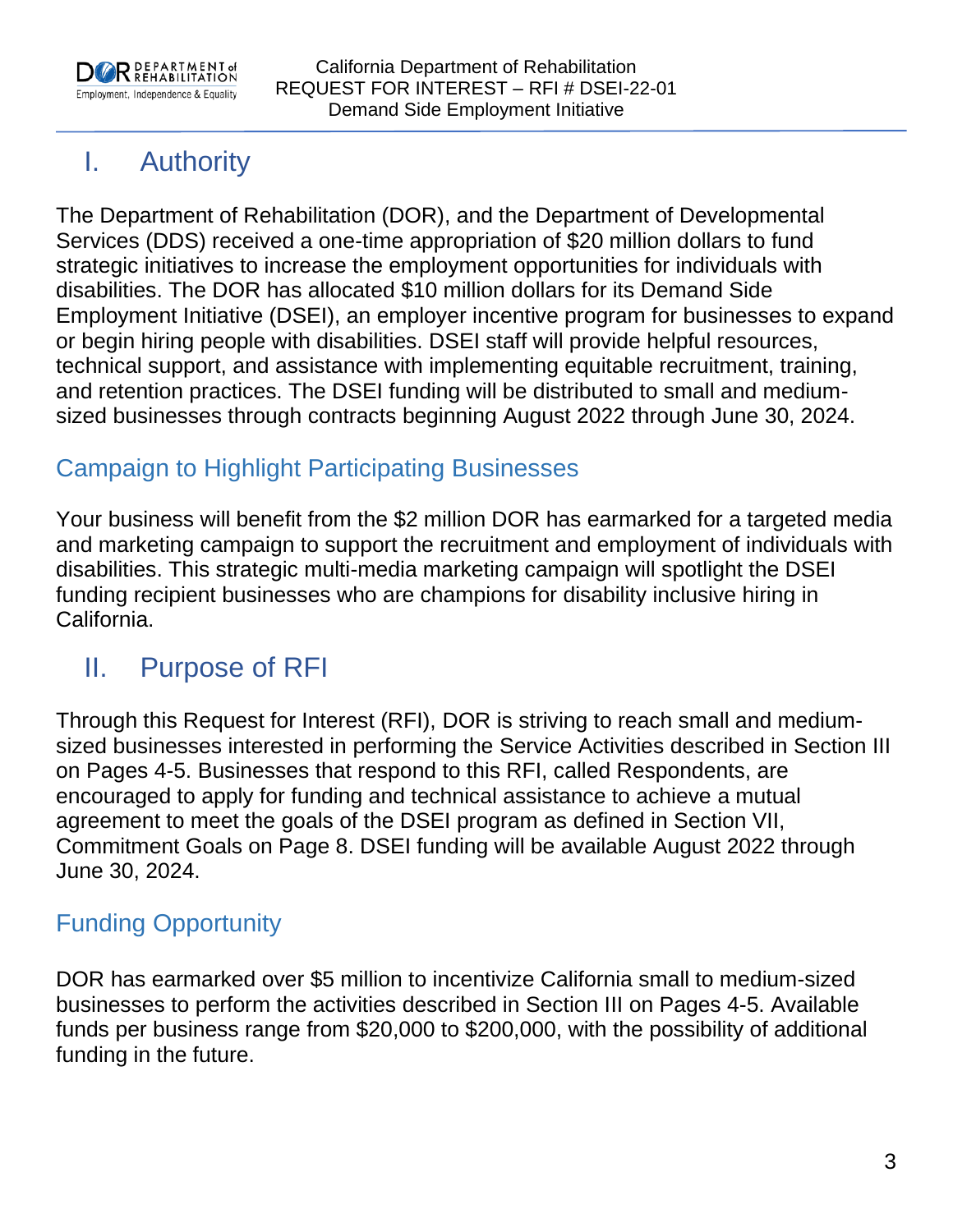

# <span id="page-2-0"></span>I. Authority

The Department of Rehabilitation (DOR), and the Department of Developmental Services (DDS) received a one-time appropriation of \$20 million dollars to fund strategic initiatives to increase the employment opportunities for individuals with disabilities. The DOR has allocated \$10 million dollars for its Demand Side Employment Initiative (DSEI), an employer incentive program for businesses to expand or begin hiring people with disabilities. DSEI staff will provide helpful resources, technical support, and assistance with implementing equitable recruitment, training, and retention practices. The DSEI funding will be distributed to small and mediumsized businesses through contracts beginning August 2022 through June 30, 2024.

## <span id="page-2-1"></span>Campaign to Highlight Participating Businesses

Your business will benefit from the \$2 million DOR has earmarked for a targeted media and marketing campaign to support the recruitment and employment of individuals with disabilities. This strategic multi-media marketing campaign will spotlight the DSEI funding recipient businesses who are champions for disability inclusive hiring in California.

## <span id="page-2-2"></span>II. Purpose of RFI

Through this Request for Interest (RFI), DOR is striving to reach small and mediumsized businesses interested in performing the Service Activities described in Section III on Pages 4-5. Businesses that respond to this RFI, called Respondents, are encouraged to apply for funding and technical assistance to achieve a mutual agreement to meet the goals of the DSEI program as defined in Section VII, Commitment Goals on Page 8. DSEI funding will be available August 2022 through June 30, 2024.

## <span id="page-2-3"></span>Funding Opportunity

DOR has earmarked over \$5 million to incentivize California small to medium-sized businesses to perform the activities described in Section III on Pages 4-5. Available funds per business range from \$20,000 to \$200,000, with the possibility of additional funding in the future.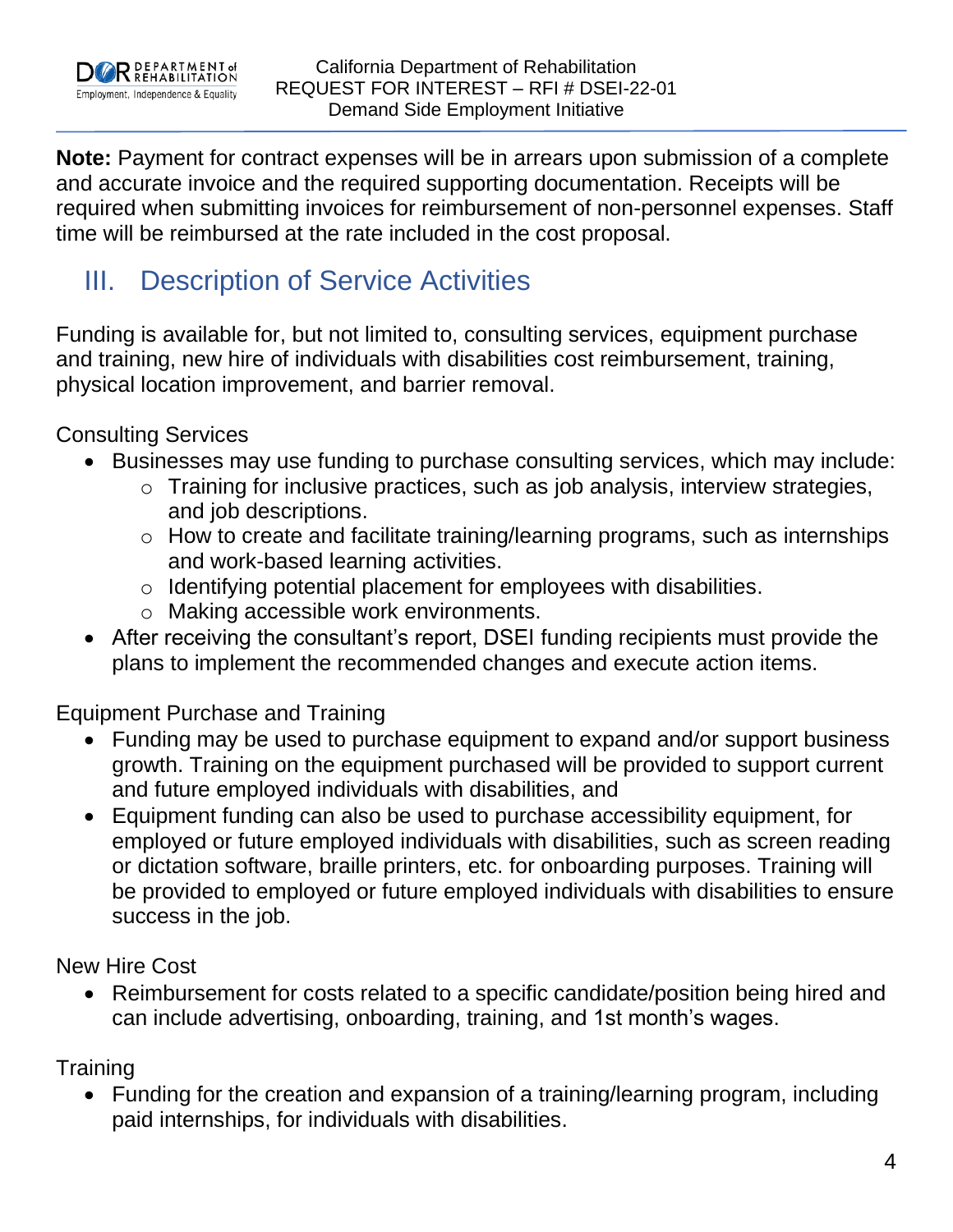

**Note:** Payment for contract expenses will be in arrears upon submission of a complete and accurate invoice and the required supporting documentation. Receipts will be required when submitting invoices for reimbursement of non-personnel expenses. Staff time will be reimbursed at the rate included in the cost proposal.

## <span id="page-3-0"></span>III. Description of Service Activities

Funding is available for, but not limited to, consulting services, equipment purchase and training, new hire of individuals with disabilities cost reimbursement, training, physical location improvement, and barrier removal.

Consulting Services

- Businesses may use funding to purchase consulting services, which may include:
	- o Training for inclusive practices, such as job analysis, interview strategies, and job descriptions.
	- o How to create and facilitate training/learning programs, such as internships and work-based learning activities.
	- o Identifying potential placement for employees with disabilities.
	- o Making accessible work environments.
- After receiving the consultant's report, DSEI funding recipients must provide the plans to implement the recommended changes and execute action items.

Equipment Purchase and Training

- Funding may be used to purchase equipment to expand and/or support business growth. Training on the equipment purchased will be provided to support current and future employed individuals with disabilities, and
- Equipment funding can also be used to purchase accessibility equipment, for employed or future employed individuals with disabilities, such as screen reading or dictation software, braille printers, etc. for onboarding purposes. Training will be provided to employed or future employed individuals with disabilities to ensure success in the job.

New Hire Cost

• Reimbursement for costs related to a specific candidate/position being hired and can include advertising, onboarding, training, and 1st month's wages.

**Training** 

• Funding for the creation and expansion of a training/learning program, including paid internships, for individuals with disabilities.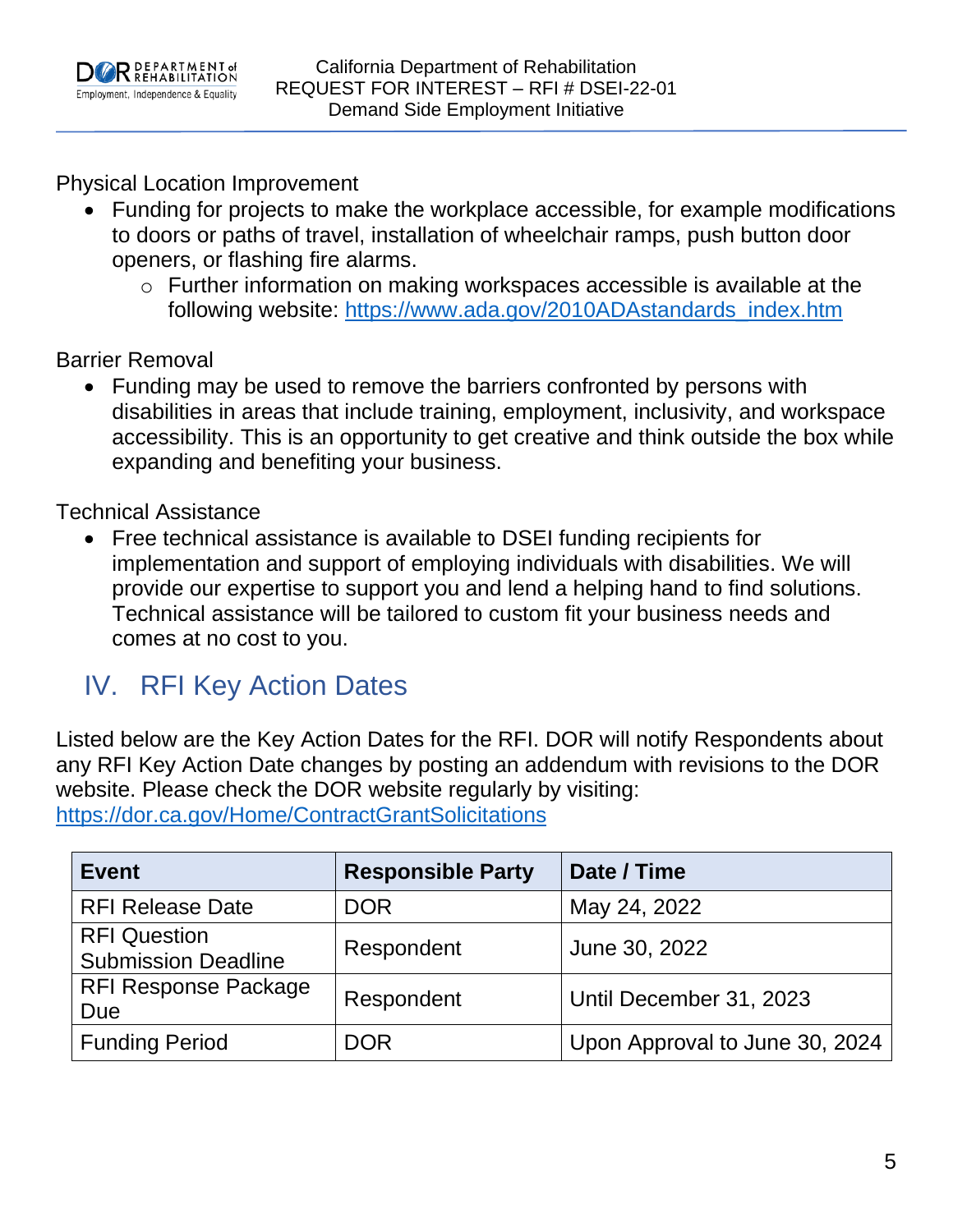Physical Location Improvement

- Funding for projects to make the workplace accessible, for example modifications to doors or paths of travel, installation of wheelchair ramps, push button door openers, or flashing fire alarms.
	- o Further information on making workspaces accessible is available at the following website: [https://www.ada.gov/2010ADAstandards\\_index.htm](https://www.ada.gov/2010ADAstandards_index.htm)

Barrier Removal

• Funding may be used to remove the barriers confronted by persons with disabilities in areas that include training, employment, inclusivity, and workspace accessibility. This is an opportunity to get creative and think outside the box while expanding and benefiting your business.

Technical Assistance

• Free technical assistance is available to DSEI funding recipients for implementation and support of employing individuals with disabilities. We will provide our expertise to support you and lend a helping hand to find solutions. Technical assistance will be tailored to custom fit your business needs and comes at no cost to you.

# <span id="page-4-0"></span>IV. RFI Key Action Dates

Listed below are the Key Action Dates for the RFI. DOR will notify Respondents about any RFI Key Action Date changes by posting an addendum with revisions to the DOR website. Please check the DOR website regularly by visiting:

| <b>Event</b>                                      | <b>Responsible Party</b> | Date / Time                    |
|---------------------------------------------------|--------------------------|--------------------------------|
| <b>RFI Release Date</b>                           | <b>DOR</b>               | May 24, 2022                   |
| <b>RFI Question</b><br><b>Submission Deadline</b> | Respondent               | June 30, 2022                  |
| <b>RFI Response Package</b><br>Due                | Respondent               | Until December 31, 2023        |
| <b>Funding Period</b>                             | <b>DOR</b>               | Upon Approval to June 30, 2024 |

<https://dor.ca.gov/Home/ContractGrantSolicitations>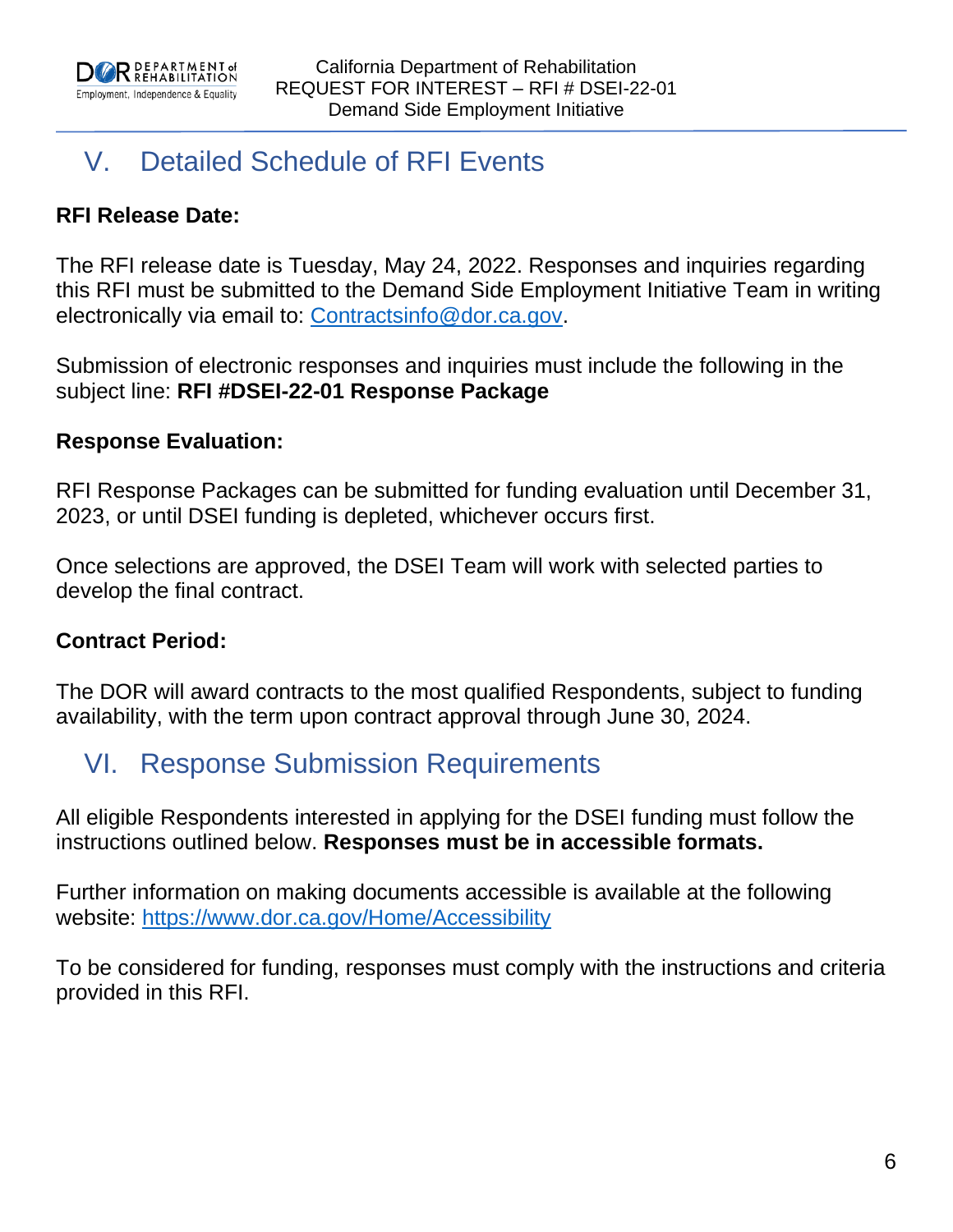# <span id="page-5-0"></span>V. Detailed Schedule of RFI Events

### **RFI Release Date:**

The RFI release date is Tuesday, May 24, 2022. Responses and inquiries regarding this RFI must be submitted to the Demand Side Employment Initiative Team in writing electronically via email to: [Contractsinfo@dor.ca.gov.](mailto:DSEI@DOR.CA.GOV)

Submission of electronic responses and inquiries must include the following in the subject line: **RFI #DSEI-22-01 Response Package**

#### **Response Evaluation:**

RFI Response Packages can be submitted for funding evaluation until December 31, 2023, or until DSEI funding is depleted, whichever occurs first.

Once selections are approved, the DSEI Team will work with selected parties to develop the final contract.

### **Contract Period:**

The DOR will award contracts to the most qualified Respondents, subject to funding availability, with the term upon contract approval through June 30, 2024.

# <span id="page-5-1"></span>VI. Response Submission Requirements

All eligible Respondents interested in applying for the DSEI funding must follow the instructions outlined below. **Responses must be in accessible formats.**

Further information on making documents accessible is available at the following website: <https://www.dor.ca.gov/Home/Accessibility>

To be considered for funding, responses must comply with the instructions and criteria provided in this RFI.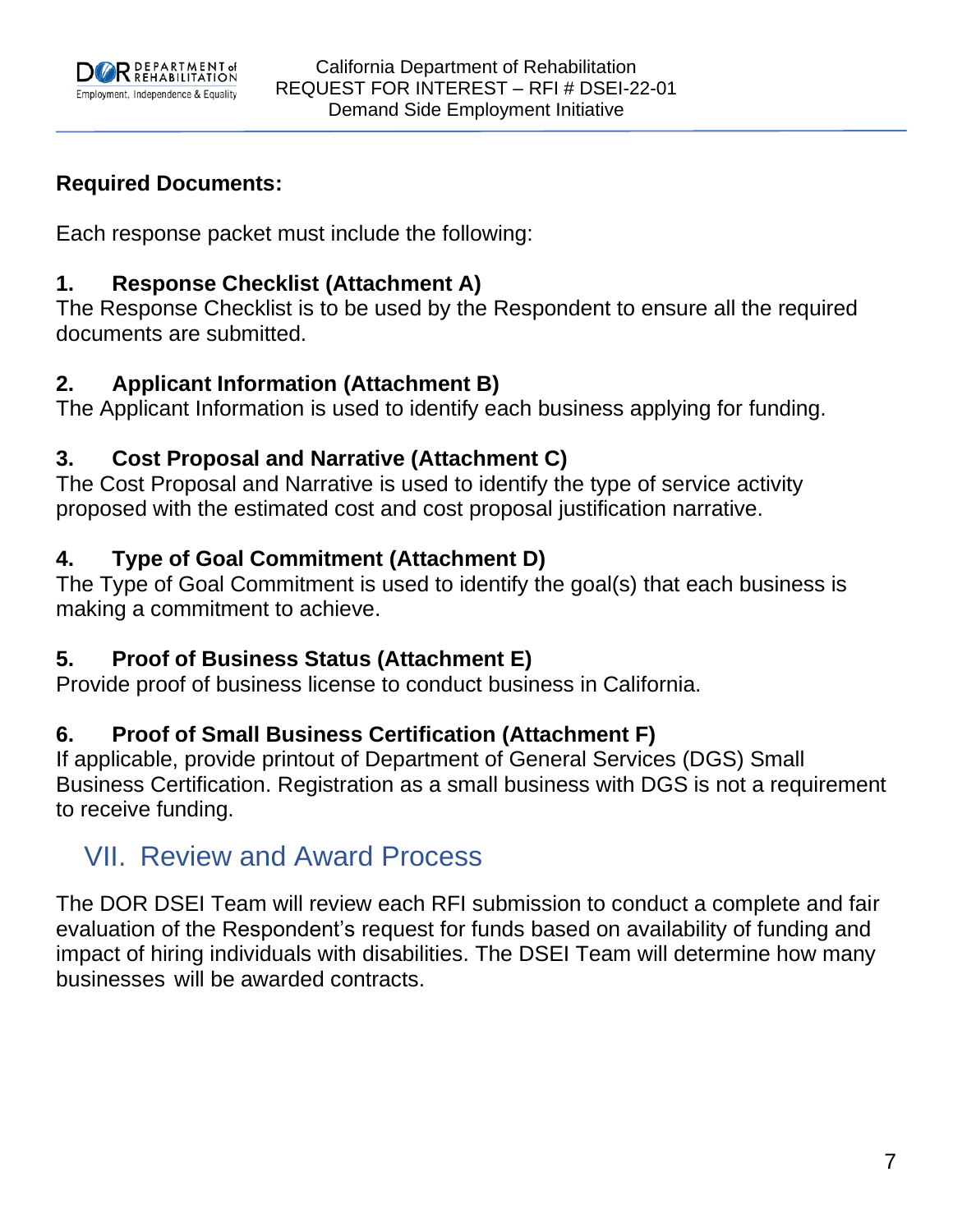

#### **Required Documents:**

Each response packet must include the following:

#### **1. Response Checklist (Attachment A)**

The Response Checklist is to be used by the Respondent to ensure all the required documents are submitted.

### **2. Applicant Information (Attachment B)**

The Applicant Information is used to identify each business applying for funding.

#### **3. Cost Proposal and Narrative (Attachment C)**

The Cost Proposal and Narrative is used to identify the type of service activity proposed with the estimated cost and cost proposal justification narrative.

#### **4. Type of Goal Commitment (Attachment D)**

The Type of Goal Commitment is used to identify the goal(s) that each business is making a commitment to achieve.

### **5. Proof of Business Status (Attachment E)**

Provide proof of business license to conduct business in California.

### **6. Proof of Small Business Certification (Attachment F)**

If applicable, provide printout of Department of General Services (DGS) Small Business Certification. Registration as a small business with DGS is not a requirement to receive funding.

## <span id="page-6-0"></span>VII. Review and Award Process

The DOR DSEI Team will review each RFI submission to conduct a complete and fair evaluation of the Respondent's request for funds based on availability of funding and impact of hiring individuals with disabilities. The DSEI Team will determine how many businesses will be awarded contracts.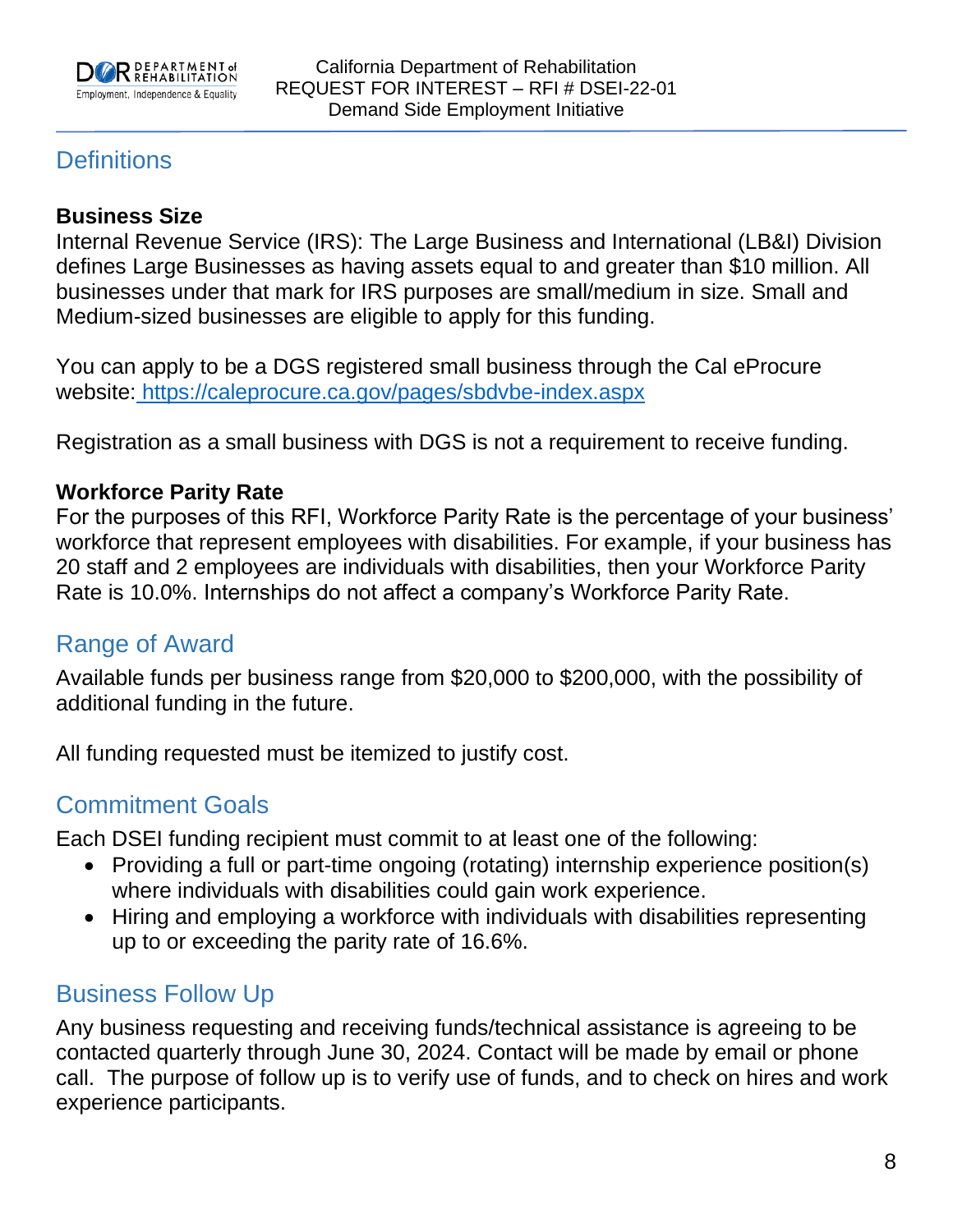

## <span id="page-7-0"></span>**Definitions**

#### **Business Size**

Internal Revenue Service (IRS): The Large Business and International (LB&I) Division defines Large Businesses as having assets equal to and greater than \$10 million. All businesses under that mark for IRS purposes are small/medium in size. Small and Medium-sized businesses are eligible to apply for this funding.

You can apply to be a DGS registered small business through the Cal eProcure website: https://caleprocure.ca.gov/pages/sbdvbe-index.aspx

Registration as a small business with DGS is not a requirement to receive funding.

#### **Workforce Parity Rate**

For the purposes of this RFI, Workforce Parity Rate is the percentage of your business' workforce that represent employees with disabilities. For example, if your business has 20 staff and 2 employees are individuals with disabilities, then your Workforce Parity Rate is 10.0%. Internships do not affect a company's Workforce Parity Rate.

### <span id="page-7-1"></span>Range of Award

Available funds per business range from \$20,000 to \$200,000, with the possibility of additional funding in the future.

All funding requested must be itemized to justify cost.

## <span id="page-7-2"></span>Commitment Goals

Each DSEI funding recipient must commit to at least one of the following:

- Providing a full or part-time ongoing (rotating) internship experience position(s) where individuals with disabilities could gain work experience.
- Hiring and employing a workforce with individuals with disabilities representing up to or exceeding the parity rate of 16.6%.

## <span id="page-7-3"></span>Business Follow Up

Any business requesting and receiving funds/technical assistance is agreeing to be contacted quarterly through June 30, 2024. Contact will be made by email or phone call. The purpose of follow up is to verify use of funds, and to check on hires and work experience participants.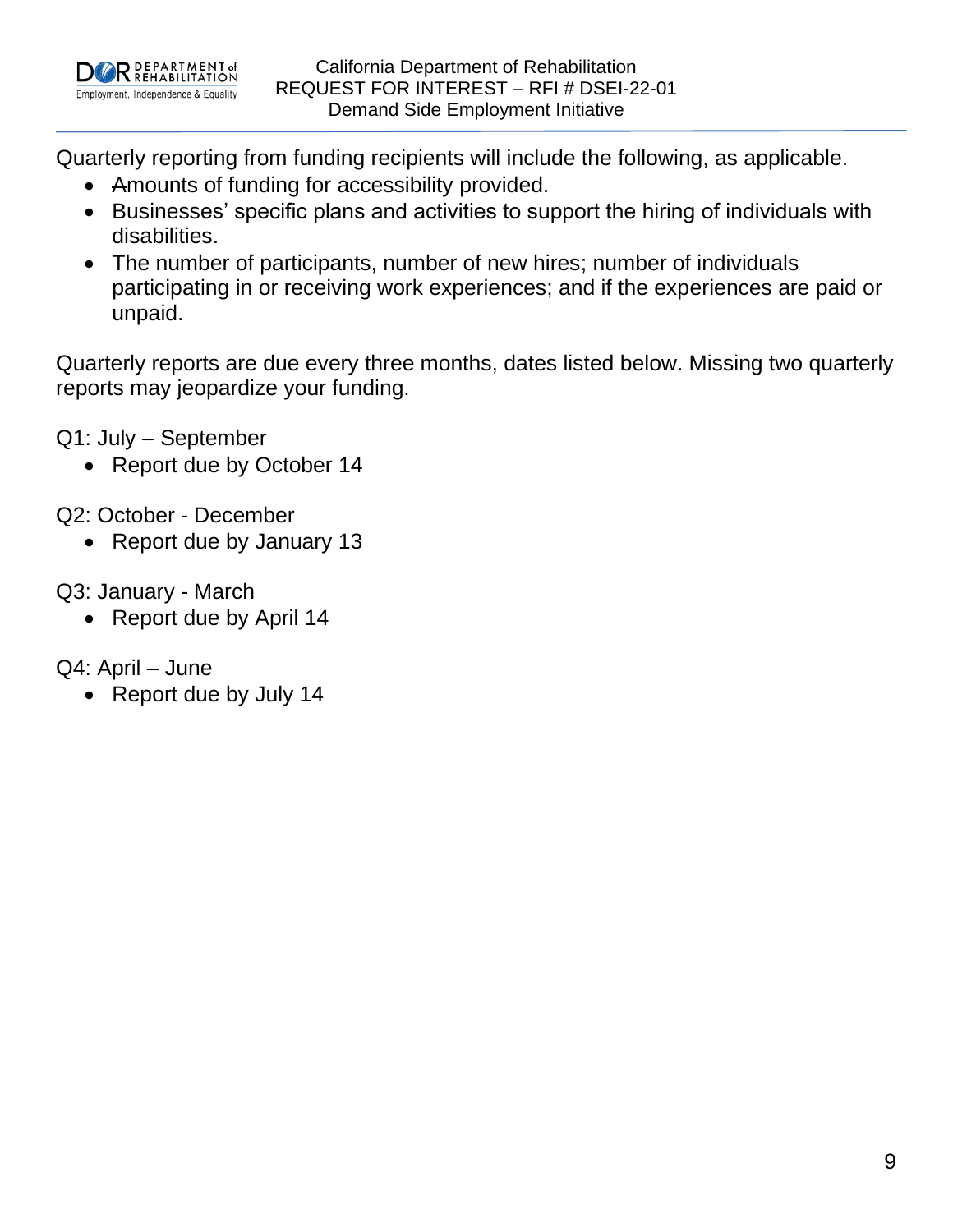

Quarterly reporting from funding recipients will include the following, as applicable.

- Amounts of funding for accessibility provided.
- Businesses' specific plans and activities to support the hiring of individuals with disabilities.
- The number of participants, number of new hires; number of individuals participating in or receiving work experiences; and if the experiences are paid or unpaid.

Quarterly reports are due every three months, dates listed below. Missing two quarterly reports may jeopardize your funding.

Q1: July – September

• Report due by October 14

Q2: October - December

- Report due by January 13
- Q3: January March
	- Report due by April 14

Q4: April – June

• Report due by July 14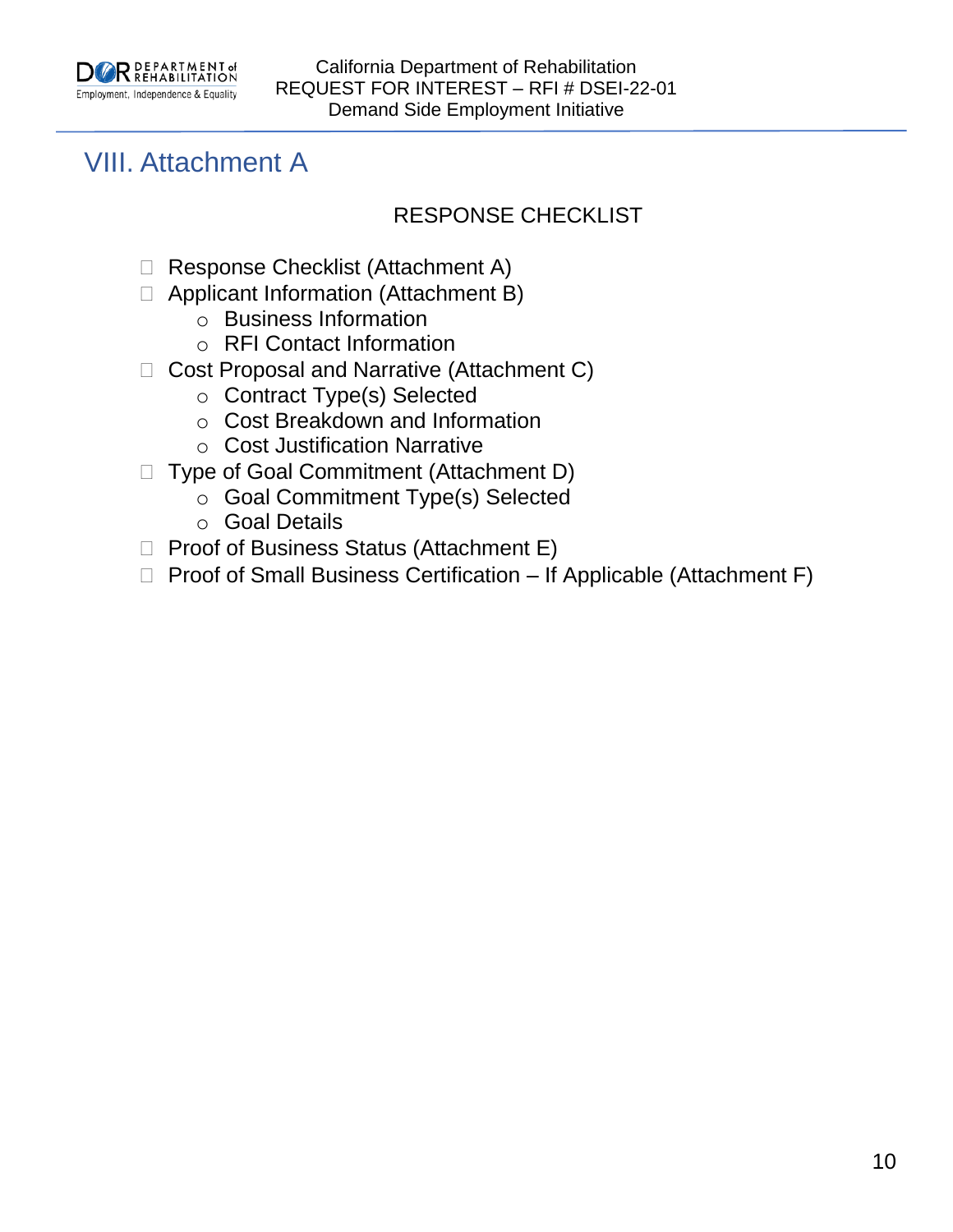

## <span id="page-9-0"></span>VIII. Attachment A

## RESPONSE CHECKLIST

- □ Response Checklist (Attachment A)
- □ Applicant Information (Attachment B)
	- o Business Information
	- o RFI Contact Information
- □ Cost Proposal and Narrative (Attachment C)
	- o Contract Type(s) Selected
	- o Cost Breakdown and Information
	- o Cost Justification Narrative
- □ Type of Goal Commitment (Attachment D)
	- o Goal Commitment Type(s) Selected
	- o Goal Details
- □ Proof of Business Status (Attachment E)
- $\Box$  Proof of Small Business Certification If Applicable (Attachment F)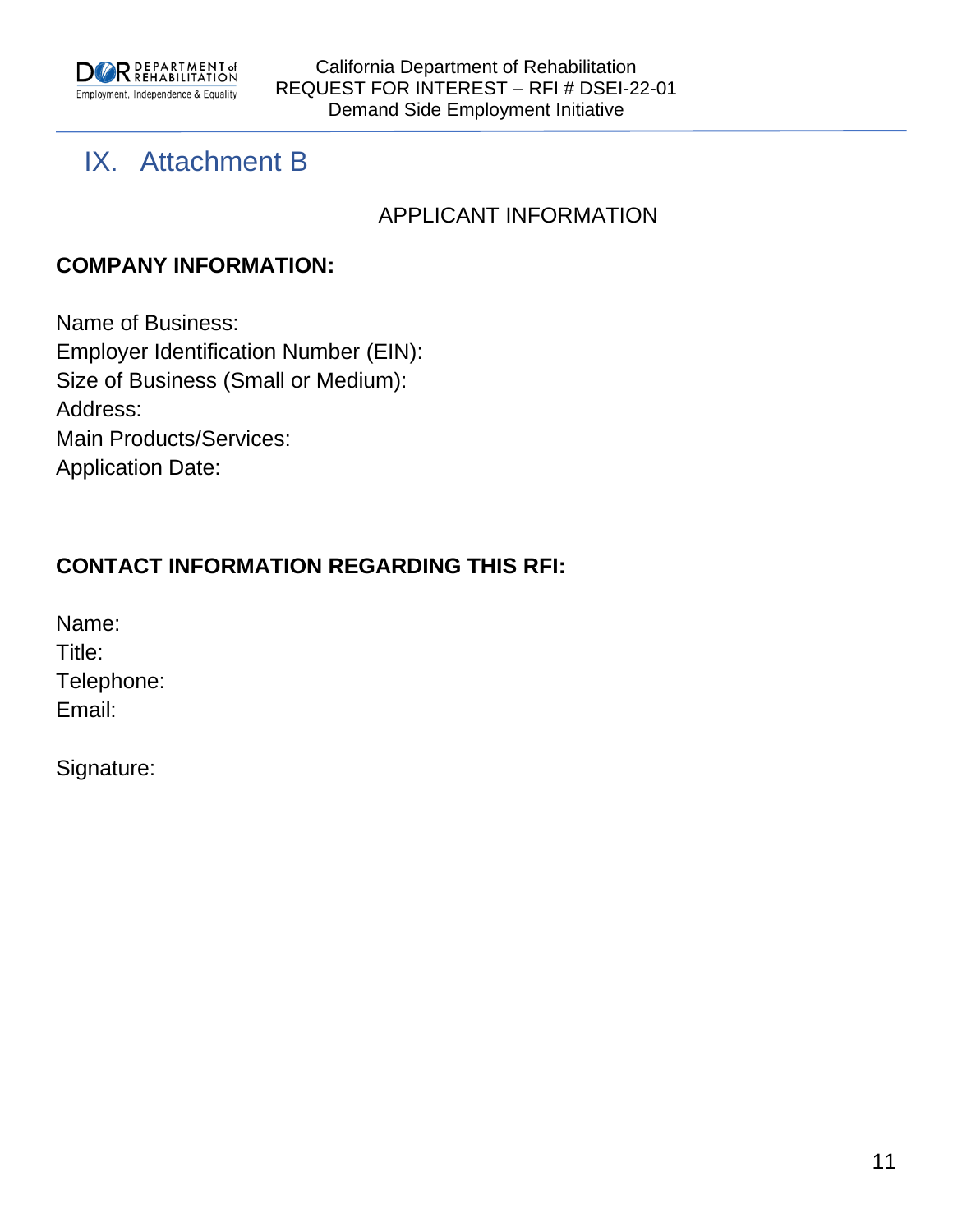

# <span id="page-10-0"></span>IX. Attachment B

APPLICANT INFORMATION

### **COMPANY INFORMATION:**

Name of Business: Employer Identification Number (EIN): Size of Business (Small or Medium): Address: Main Products/Services: Application Date:

### **CONTACT INFORMATION REGARDING THIS RFI:**

| Name:      |
|------------|
| Title:     |
| Telephone: |
| Email:     |

Signature: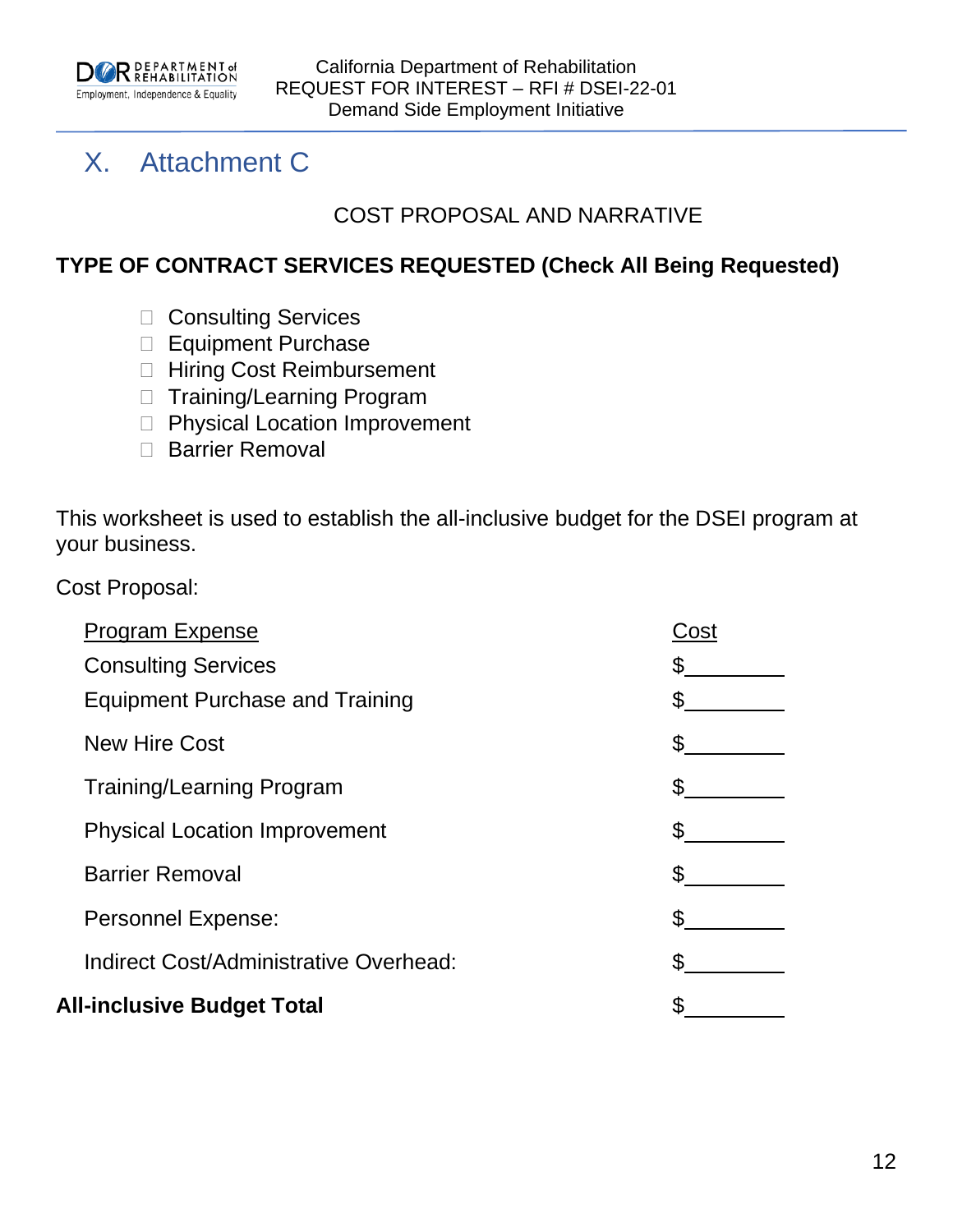

## <span id="page-11-0"></span>X. Attachment C

## COST PROPOSAL AND NARRATIVE

### **TYPE OF CONTRACT SERVICES REQUESTED (Check All Being Requested)**

- □ Consulting Services
- □ Equipment Purchase
- □ Hiring Cost Reimbursement
- □ Training/Learning Program
- □ Physical Location Improvement
- □ Barrier Removal

This worksheet is used to establish the all-inclusive budget for the DSEI program at your business.

Cost Proposal:

| <b>Program Expense</b>                 | Cost |
|----------------------------------------|------|
| <b>Consulting Services</b>             |      |
| <b>Equipment Purchase and Training</b> |      |
| <b>New Hire Cost</b>                   |      |
| <b>Training/Learning Program</b>       |      |
| <b>Physical Location Improvement</b>   |      |
| <b>Barrier Removal</b>                 |      |
| <b>Personnel Expense:</b>              |      |
| Indirect Cost/Administrative Overhead: |      |
| <b>All-inclusive Budget Total</b>      |      |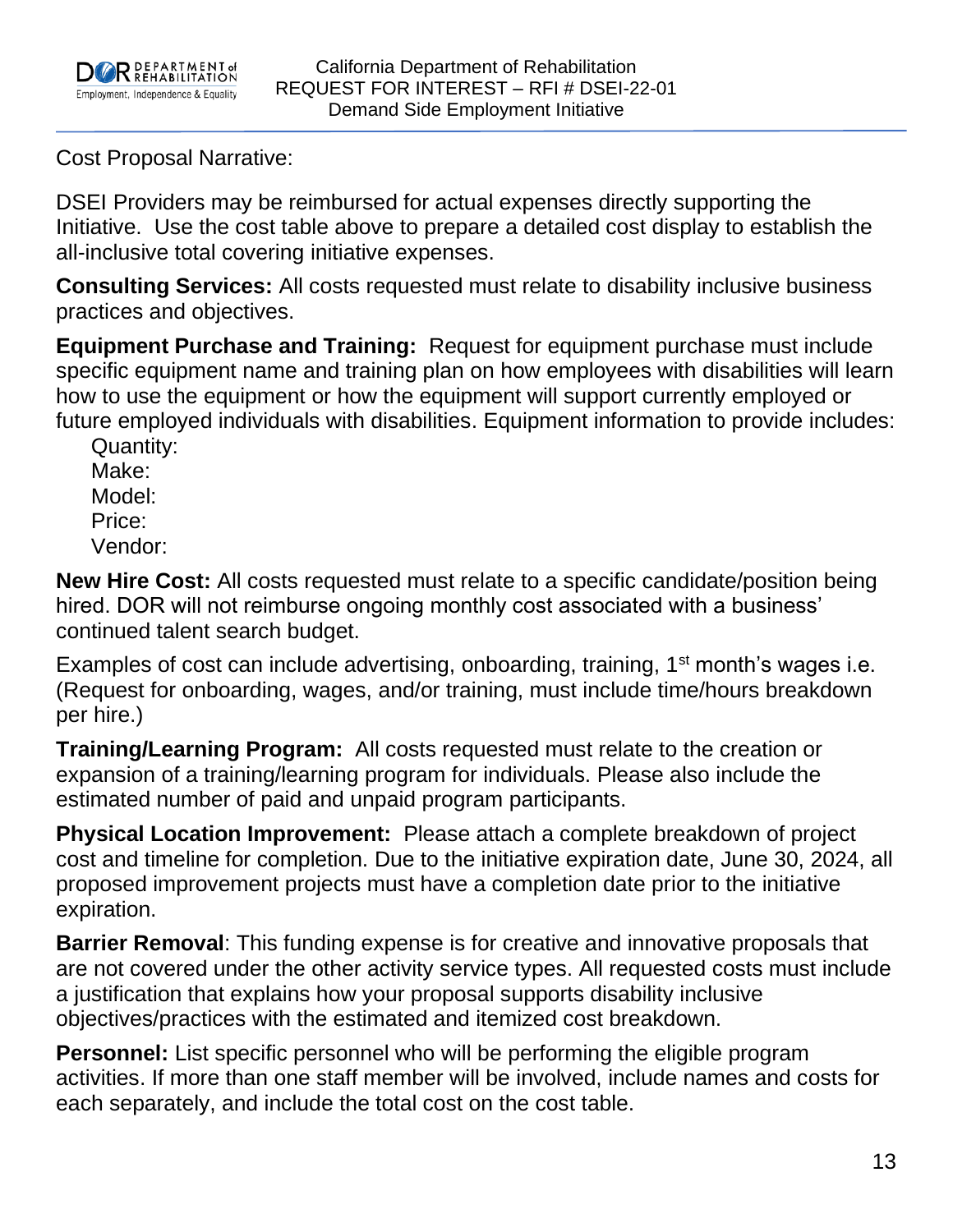

Cost Proposal Narrative:

DSEI Providers may be reimbursed for actual expenses directly supporting the Initiative. Use the cost table above to prepare a detailed cost display to establish the all-inclusive total covering initiative expenses.

**Consulting Services:** All costs requested must relate to disability inclusive business practices and objectives.

**Equipment Purchase and Training:** Request for equipment purchase must include specific equipment name and training plan on how employees with disabilities will learn how to use the equipment or how the equipment will support currently employed or future employed individuals with disabilities. Equipment information to provide includes:

Quantity: Make: Model: Price: Vendor:

**New Hire Cost:** All costs requested must relate to a specific candidate/position being hired. DOR will not reimburse ongoing monthly cost associated with a business' continued talent search budget.

Examples of cost can include advertising, onboarding, training,  $1<sup>st</sup>$  month's wages i.e. (Request for onboarding, wages, and/or training, must include time/hours breakdown per hire.)

**Training/Learning Program:** All costs requested must relate to the creation or expansion of a training/learning program for individuals. Please also include the estimated number of paid and unpaid program participants.

**Physical Location Improvement:** Please attach a complete breakdown of project cost and timeline for completion. Due to the initiative expiration date, June 30, 2024, all proposed improvement projects must have a completion date prior to the initiative expiration.

**Barrier Removal**: This funding expense is for creative and innovative proposals that are not covered under the other activity service types. All requested costs must include a justification that explains how your proposal supports disability inclusive objectives/practices with the estimated and itemized cost breakdown.

**Personnel:** List specific personnel who will be performing the eligible program activities. If more than one staff member will be involved, include names and costs for each separately, and include the total cost on the cost table.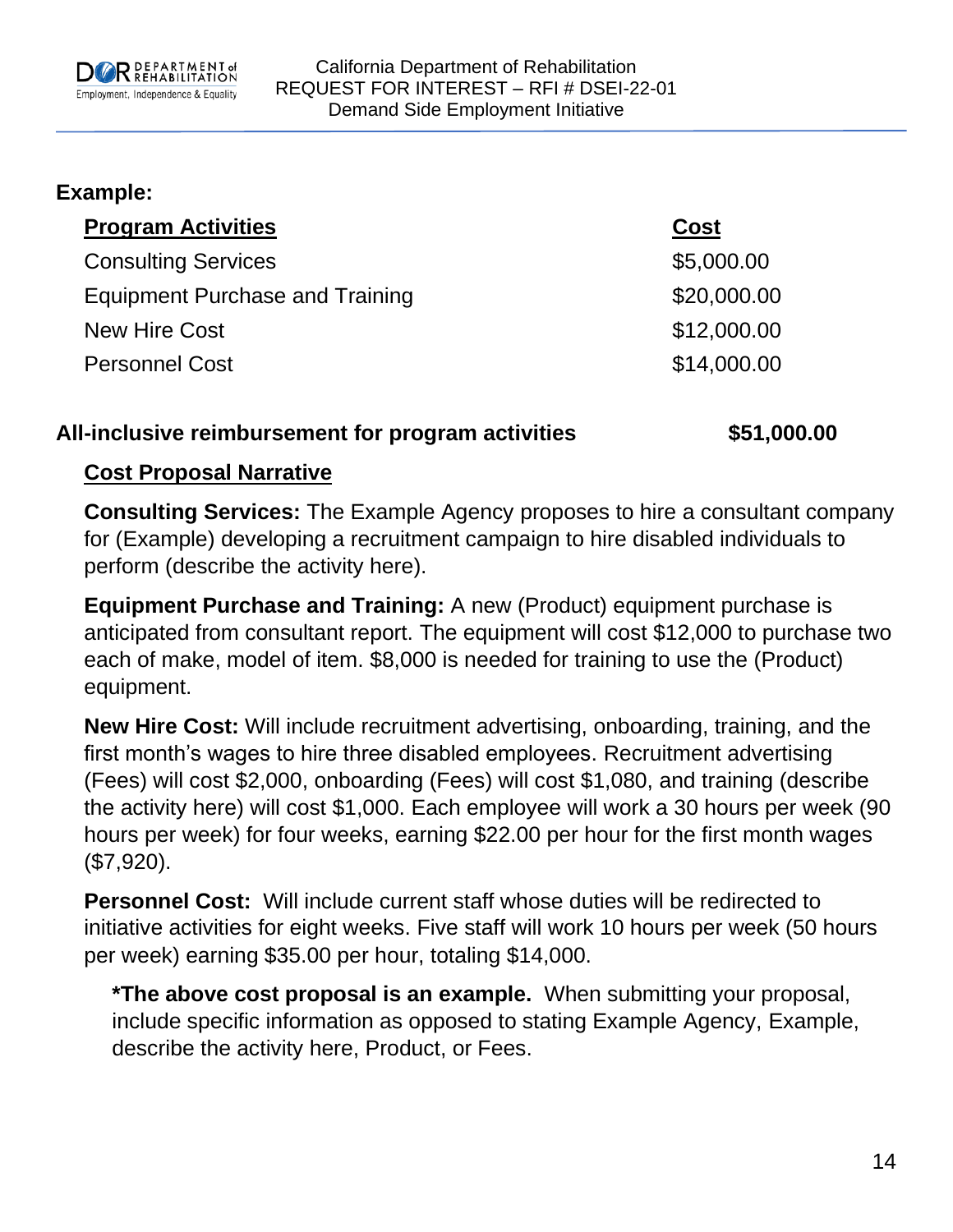#### **Example:**

| <b>Program Activities</b>              | <b>Cost</b> |
|----------------------------------------|-------------|
| <b>Consulting Services</b>             | \$5,000.00  |
| <b>Equipment Purchase and Training</b> | \$20,000.00 |
| <b>New Hire Cost</b>                   | \$12,000.00 |
| <b>Personnel Cost</b>                  | \$14,000.00 |

#### **All-inclusive reimbursement for program activities \$51,000.00**

### **Cost Proposal Narrative**

**Consulting Services:** The Example Agency proposes to hire a consultant company for (Example) developing a recruitment campaign to hire disabled individuals to perform (describe the activity here).

**Equipment Purchase and Training:** A new (Product) equipment purchase is anticipated from consultant report. The equipment will cost \$12,000 to purchase two each of make, model of item. \$8,000 is needed for training to use the (Product) equipment.

**New Hire Cost:** Will include recruitment advertising, onboarding, training, and the first month's wages to hire three disabled employees. Recruitment advertising (Fees) will cost \$2,000, onboarding (Fees) will cost \$1,080, and training (describe the activity here) will cost \$1,000. Each employee will work a 30 hours per week (90 hours per week) for four weeks, earning \$22.00 per hour for the first month wages (\$7,920).

**Personnel Cost:** Will include current staff whose duties will be redirected to initiative activities for eight weeks. Five staff will work 10 hours per week (50 hours per week) earning \$35.00 per hour, totaling \$14,000.

**\*The above cost proposal is an example.** When submitting your proposal, include specific information as opposed to stating Example Agency, Example, describe the activity here, Product, or Fees.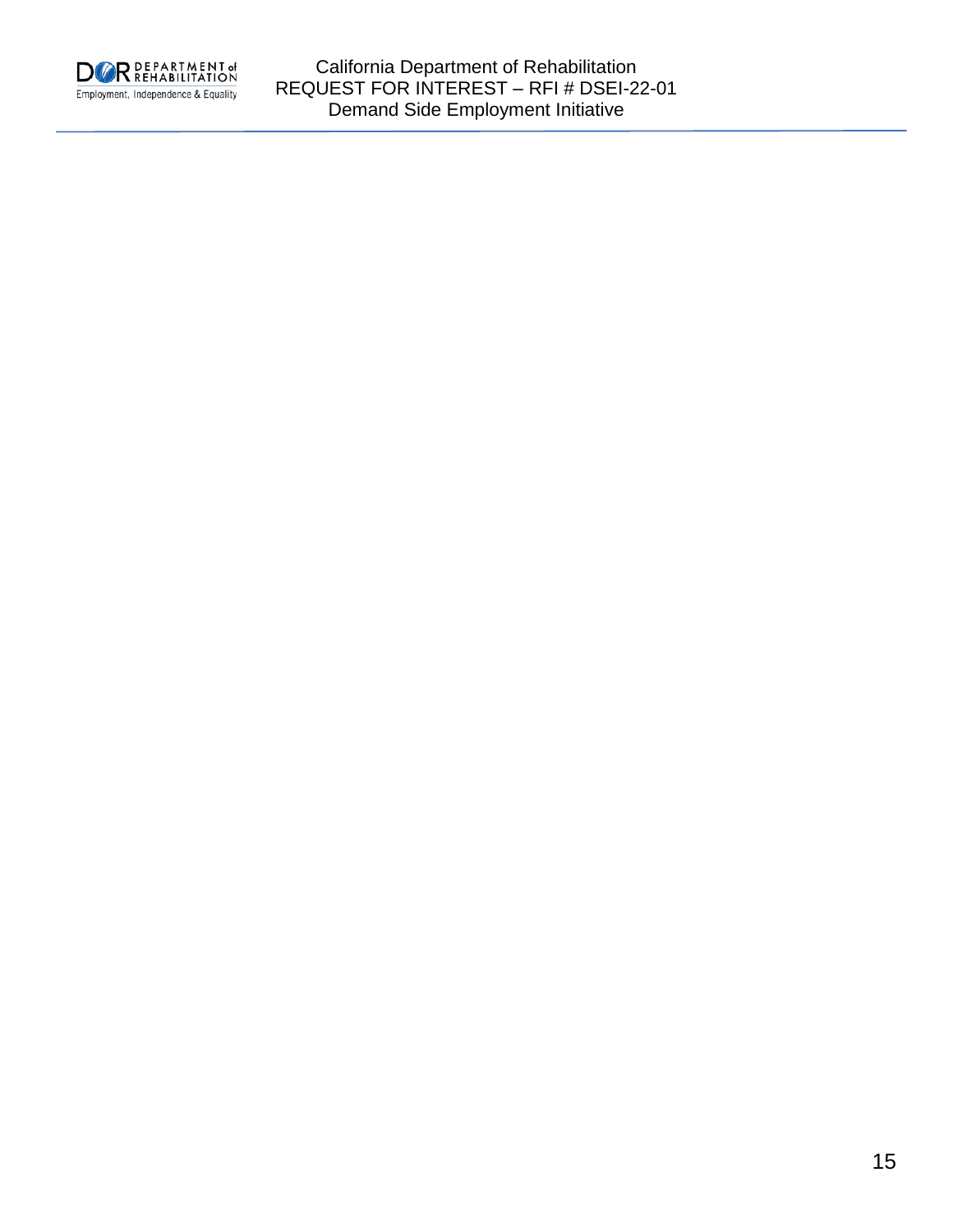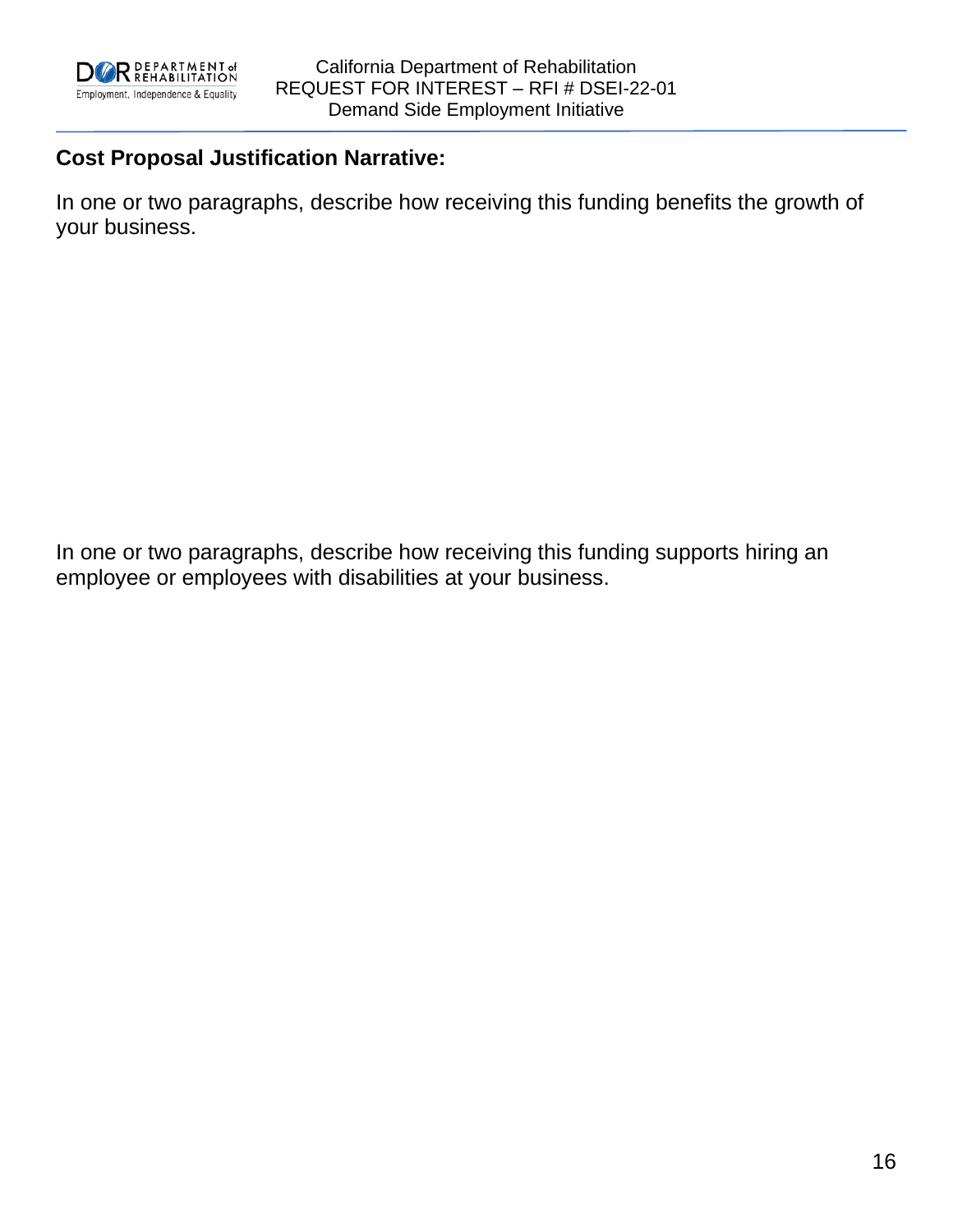

#### **Cost Proposal Justification Narrative:**

In one or two paragraphs, describe how receiving this funding benefits the growth of your business.

In one or two paragraphs, describe how receiving this funding supports hiring an employee or employees with disabilities at your business.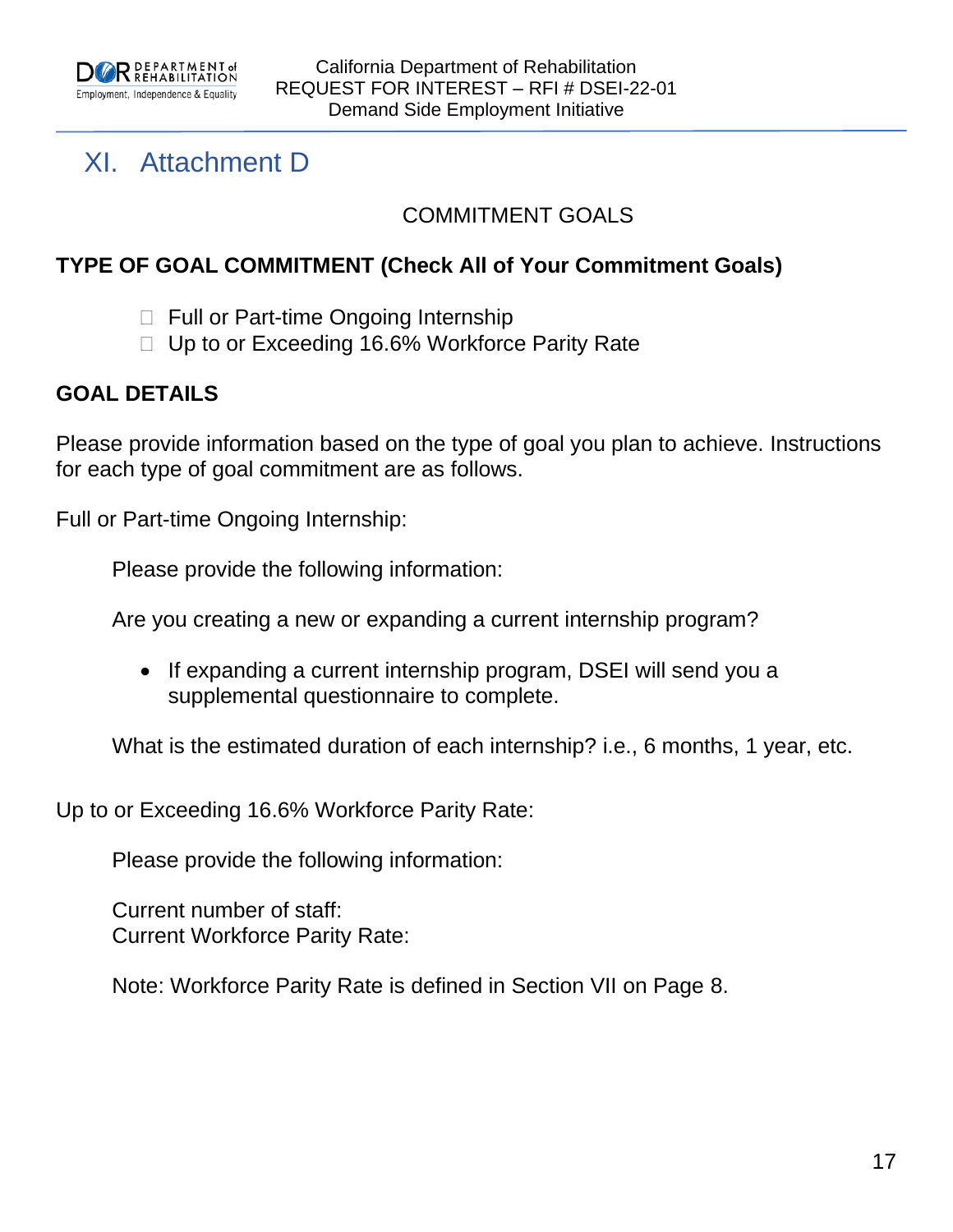## <span id="page-16-0"></span>XI. Attachment D

## COMMITMENT GOALS

### **TYPE OF GOAL COMMITMENT (Check All of Your Commitment Goals)**

- □ Full or Part-time Ongoing Internship
- □ Up to or Exceeding 16.6% Workforce Parity Rate

### **GOAL DETAILS**

Please provide information based on the type of goal you plan to achieve. Instructions for each type of goal commitment are as follows.

Full or Part-time Ongoing Internship:

Please provide the following information:

Are you creating a new or expanding a current internship program?

• If expanding a current internship program, DSEI will send you a supplemental questionnaire to complete.

What is the estimated duration of each internship? i.e., 6 months, 1 year, etc.

Up to or Exceeding 16.6% Workforce Parity Rate:

Please provide the following information:

Current number of staff: Current Workforce Parity Rate:

Note: Workforce Parity Rate is defined in Section VII on Page 8.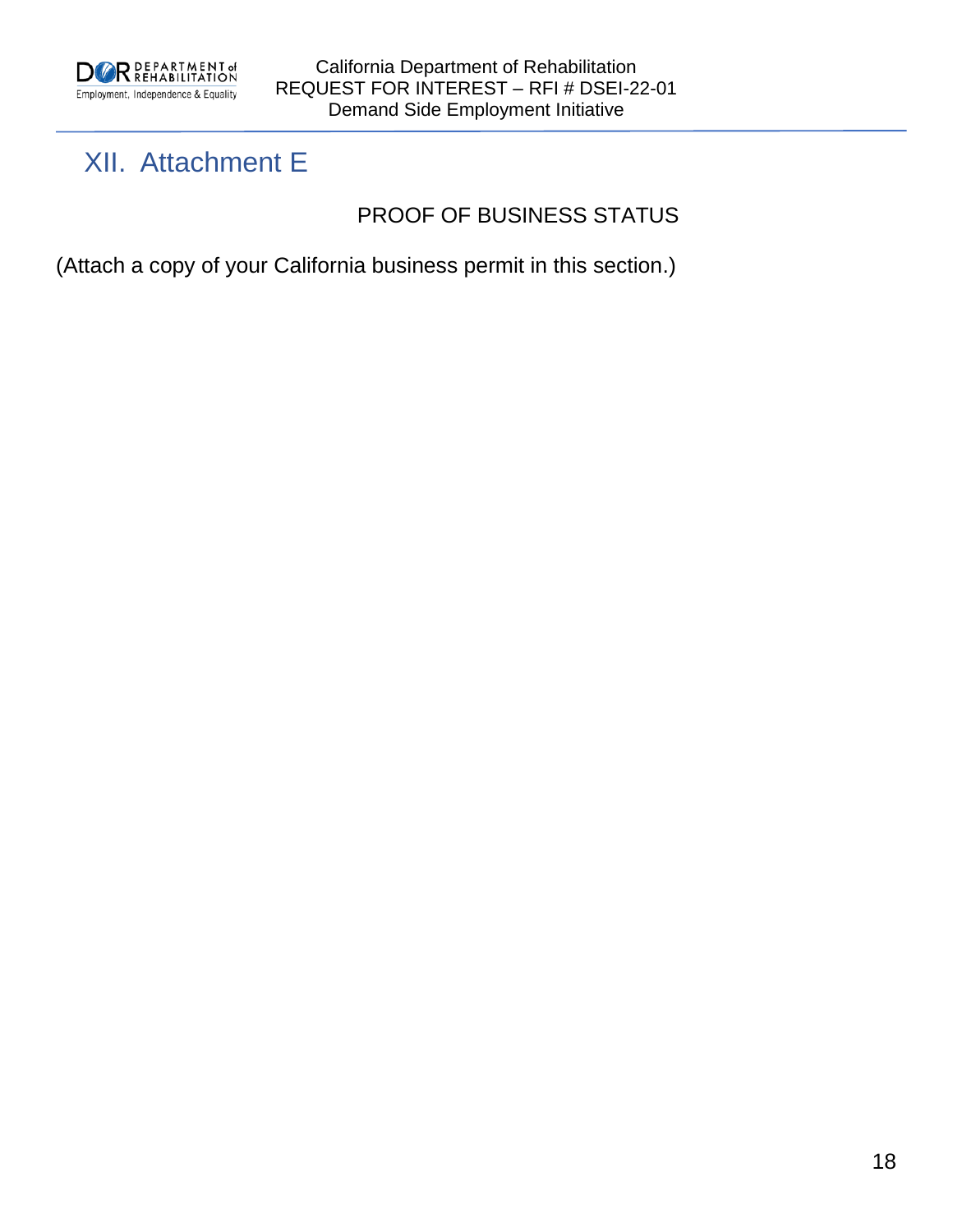

## <span id="page-17-0"></span>XII. Attachment E

PROOF OF BUSINESS STATUS

(Attach a copy of your California business permit in this section.)